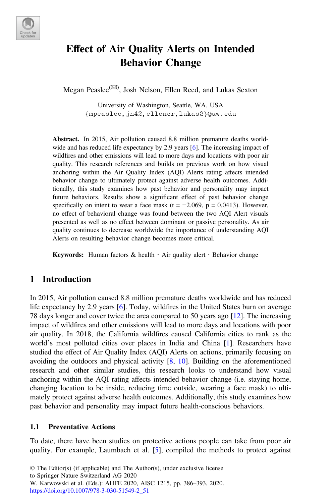

# Effect of Air Quality Alerts on Intended Behavior Change

Megan Peaslee<sup>(⊠)</sup>, Josh Nelson, Ellen Reed, and Lukas Sexton

University of Washington, Seattle, WA, USA {mpeaslee,jn42,ellencr,lukas2}@uw.edu

Abstract. In 2015, Air pollution caused 8.8 million premature deaths world-wide and has reduced life expectancy by 2.9 years [[6](#page-7-0)]. The increasing impact of wildfires and other emissions will lead to more days and locations with poor air quality. This research references and builds on previous work on how visual anchoring within the Air Quality Index (AQI) Alerts rating affects intended behavior change to ultimately protect against adverse health outcomes. Additionally, this study examines how past behavior and personality may impact future behaviors. Results show a significant effect of past behavior change specifically on intent to wear a face mask (t =  $-2.069$ , p = 0.0413). However, no effect of behavioral change was found between the two AQI Alert visuals presented as well as no effect between dominant or passive personality. As air quality continues to decrease worldwide the importance of understanding AQI Alerts on resulting behavior change becomes more critical.

Keywords: Human factors & health  $\cdot$  Air quality alert  $\cdot$  Behavior change

### 1 Introduction

In 2015, Air pollution caused 8.8 million premature deaths worldwide and has reduced life expectancy by 2.9 years [[6\]](#page-7-0). Today, wildfires in the United States burn on average 78 days longer and cover twice the area compared to 50 years ago [[12\]](#page-7-0). The increasing impact of wildfires and other emissions will lead to more days and locations with poor air quality. In 2018, the California wildfires caused California cities to rank as the world's most polluted cities over places in India and China [\[1](#page-7-0)]. Researchers have studied the effect of Air Quality Index (AQI) Alerts on actions, primarily focusing on avoiding the outdoors and physical activity [\[8](#page-7-0), [10\]](#page-7-0). Building on the aforementioned research and other similar studies, this research looks to understand how visual anchoring within the AQI rating affects intended behavior change (i.e. staying home, changing location to be inside, reducing time outside, wearing a face mask) to ultimately protect against adverse health outcomes. Additionally, this study examines how past behavior and personality may impact future health-conscious behaviors.

#### 1.1 Preventative Actions

To date, there have been studies on protective actions people can take from poor air quality. For example, Laumbach et al. [\[5](#page-7-0)], compiled the methods to protect against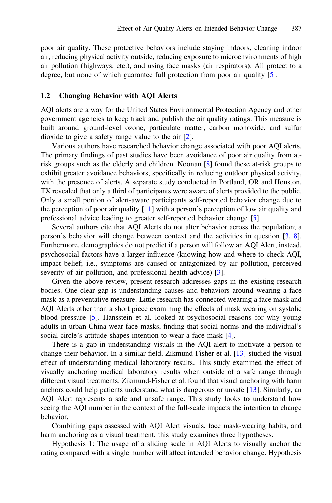poor air quality. These protective behaviors include staying indoors, cleaning indoor air, reducing physical activity outside, reducing exposure to microenvironments of high air pollution (highways, etc.), and using face masks (air respirators). All protect to a degree, but none of which guarantee full protection from poor air quality [\[5](#page-7-0)].

#### 1.2 Changing Behavior with AQI Alerts

AQI alerts are a way for the United States Environmental Protection Agency and other government agencies to keep track and publish the air quality ratings. This measure is built around ground-level ozone, particulate matter, carbon monoxide, and sulfur dioxide to give a safety range value to the air [\[2](#page-7-0)].

Various authors have researched behavior change associated with poor AQI alerts. The primary findings of past studies have been avoidance of poor air quality from atrisk groups such as the elderly and children. Noonan [[8\]](#page-7-0) found these at-risk groups to exhibit greater avoidance behaviors, specifically in reducing outdoor physical activity, with the presence of alerts. A separate study conducted in Portland, OR and Houston, TX revealed that only a third of participants were aware of alerts provided to the public. Only a small portion of alert-aware participants self-reported behavior change due to the perception of poor air quality [[11\]](#page-7-0) with a person's perception of low air quality and professional advice leading to greater self-reported behavior change [[5\]](#page-7-0).

Several authors cite that AQI Alerts do not alter behavior across the population; a person's behavior will change between context and the activities in question [[3,](#page-7-0) [8\]](#page-7-0). Furthermore, demographics do not predict if a person will follow an AQI Alert, instead, psychosocial factors have a larger influence (knowing how and where to check AQI, impact belief; i.e., symptoms are caused or antagonized by air pollution, perceived severity of air pollution, and professional health advice) [\[3](#page-7-0)].

Given the above review, present research addresses gaps in the existing research bodies. One clear gap is understanding causes and behaviors around wearing a face mask as a preventative measure. Little research has connected wearing a face mask and AQI Alerts other than a short piece examining the effects of mask wearing on systolic blood pressure [\[5](#page-7-0)]. Hansstein et al. looked at psychosocial reasons for why young adults in urban China wear face masks, finding that social norms and the individual's social circle's attitude shapes intention to wear a face mask [[4\]](#page-7-0).

There is a gap in understanding visuals in the AQI alert to motivate a person to change their behavior. In a similar field, Zikmund-Fisher et al. [[13\]](#page-7-0) studied the visual effect of understanding medical laboratory results. This study examined the effect of visually anchoring medical laboratory results when outside of a safe range through different visual treatments. Zikmund-Fisher et al. found that visual anchoring with harm anchors could help patients understand what is dangerous or unsafe [[13\]](#page-7-0). Similarly, an AQI Alert represents a safe and unsafe range. This study looks to understand how seeing the AQI number in the context of the full-scale impacts the intention to change behavior.

Combining gaps assessed with AQI Alert visuals, face mask-wearing habits, and harm anchoring as a visual treatment, this study examines three hypotheses.

Hypothesis 1: The usage of a sliding scale in AQI Alerts to visually anchor the rating compared with a single number will affect intended behavior change. Hypothesis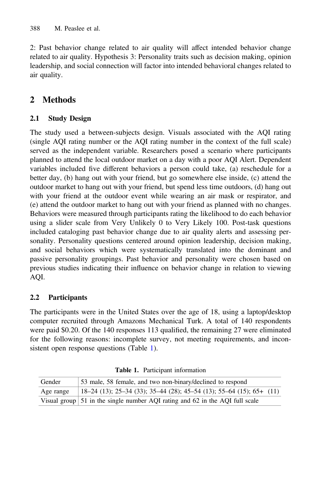2: Past behavior change related to air quality will affect intended behavior change related to air quality. Hypothesis 3: Personality traits such as decision making, opinion leadership, and social connection will factor into intended behavioral changes related to air quality.

# 2 Methods

## 2.1 Study Design

The study used a between-subjects design. Visuals associated with the AQI rating (single AQI rating number or the AQI rating number in the context of the full scale) served as the independent variable. Researchers posed a scenario where participants planned to attend the local outdoor market on a day with a poor AQI Alert. Dependent variables included five different behaviors a person could take, (a) reschedule for a better day, (b) hang out with your friend, but go somewhere else inside, (c) attend the outdoor market to hang out with your friend, but spend less time outdoors, (d) hang out with your friend at the outdoor event while wearing an air mask or respirator, and (e) attend the outdoor market to hang out with your friend as planned with no changes. Behaviors were measured through participants rating the likelihood to do each behavior using a slider scale from Very Unlikely 0 to Very Likely 100. Post-task questions included cataloging past behavior change due to air quality alerts and assessing personality. Personality questions centered around opinion leadership, decision making, and social behaviors which were systematically translated into the dominant and passive personality groupings. Past behavior and personality were chosen based on previous studies indicating their influence on behavior change in relation to viewing AQI.

# 2.2 Participants

The participants were in the United States over the age of 18, using a laptop/desktop computer recruited through Amazons Mechanical Turk. A total of 140 respondents were paid \$0.20. Of the 140 responses 113 qualified, the remaining 27 were eliminated for the following reasons: incomplete survey, not meeting requirements, and inconsistent open response questions (Table 1).

Table 1. Participant information

| Gender    | 53 male, 58 female, and two non-binary/declined to respond                           |
|-----------|--------------------------------------------------------------------------------------|
| Age range | $18-24$ (13); 25-34 (33); 35-44 (28); 45-54 (13); 55-64 (15); 65+ (11)               |
|           | Visual group $\vert$ 51 in the single number AQI rating and 62 in the AQI full scale |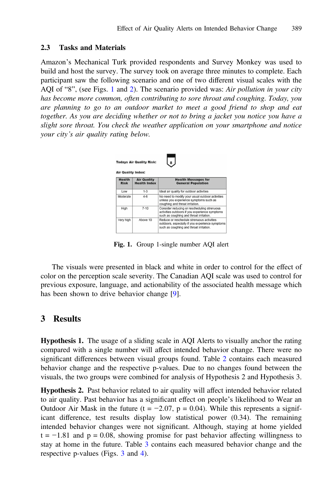#### 2.3 Tasks and Materials

Amazon's Mechanical Turk provided respondents and Survey Monkey was used to build and host the survey. The survey took on average three minutes to complete. Each participant saw the following scenario and one of two different visual scales with the AQI of "8", (see Figs. 1 and [2\)](#page-4-0). The scenario provided was: Air pollution in your city has become more common, often contributing to sore throat and coughing. Today, you are planning to go to an outdoor market to meet a good friend to shop and eat together. As you are deciding whether or not to bring a jacket you notice you have a slight sore throat. You check the weather application on your smartphone and notice your city's air quality rating below.



Fig. 1. Group 1-single number AQI alert

The visuals were presented in black and white in order to control for the effect of color on the perception scale severity. The Canadian AQI scale was used to control for previous exposure, language, and actionability of the associated health message which has been shown to drive behavior change [[9\]](#page-7-0).

### 3 Results

Hypothesis 1. The usage of a sliding scale in AQI Alerts to visually anchor the rating compared with a single number will affect intended behavior change. There were no significant differences between visual groups found. Table [2](#page-4-0) contains each measured behavior change and the respective p-values. Due to no changes found between the visuals, the two groups were combined for analysis of Hypothesis 2 and Hypothesis 3.

Hypothesis 2. Past behavior related to air quality will affect intended behavior related to air quality. Past behavior has a significant effect on people's likelihood to Wear an Outdoor Air Mask in the future (t =  $-2.07$ , p = 0.04). While this represents a significant difference, test results display low statistical power (0.34). The remaining intended behavior changes were not significant. Although, staying at home yielded  $t = -1.81$  and  $p = 0.08$ , showing promise for past behavior affecting willingness to stay at home in the future. Table [3](#page-4-0) contains each measured behavior change and the respective p-values (Figs. [3](#page-4-0) and [4\)](#page-5-0).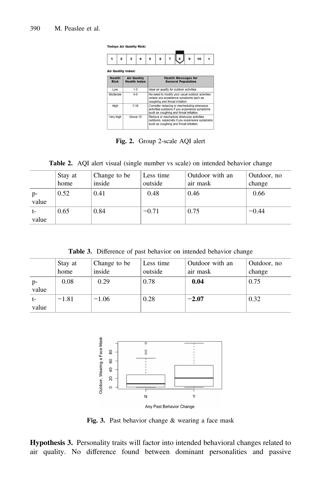<span id="page-4-0"></span>

| <b>Todays Air Quality Risk:</b>                                           |                |                           |                                                                                                                                          |                                                                                                                                         |  |                                          |  |  |  |  |  |  |
|---------------------------------------------------------------------------|----------------|---------------------------|------------------------------------------------------------------------------------------------------------------------------------------|-----------------------------------------------------------------------------------------------------------------------------------------|--|------------------------------------------|--|--|--|--|--|--|
|                                                                           | $\overline{2}$ | $\mathbf{\mathbf{a}}$     |                                                                                                                                          | 8<br>9<br>5<br>6<br>10<br>7                                                                                                             |  |                                          |  |  |  |  |  |  |
|                                                                           |                | <b>Air Quality Index:</b> |                                                                                                                                          |                                                                                                                                         |  |                                          |  |  |  |  |  |  |
| <b>Health</b><br><b>Air Quality</b><br><b>Health Index</b><br><b>Risk</b> |                |                           | <b>Health Messages for</b><br><b>General Population</b>                                                                                  |                                                                                                                                         |  |                                          |  |  |  |  |  |  |
| Low                                                                       | $1 - 3$        |                           |                                                                                                                                          |                                                                                                                                         |  | Ideal air quality for outdoor activities |  |  |  |  |  |  |
| Moderate<br>$4 - 6$                                                       |                |                           | No need to modify your usual outdoor activities<br>unless you experience symptoms such as<br>coughing and throat irritation.             |                                                                                                                                         |  |                                          |  |  |  |  |  |  |
| $7 - 10$<br>High                                                          |                |                           | Consider reducing or rescheduling strenuous<br>activities outdoors if you experience symptoms<br>such as coughing and throat irritation. |                                                                                                                                         |  |                                          |  |  |  |  |  |  |
| Above 10<br>Very high                                                     |                |                           |                                                                                                                                          | Reduce or reschedule strenuous activities<br>outdoors, especially if you experience symptoms<br>such as coughing and throat irritation. |  |                                          |  |  |  |  |  |  |
|                                                                           |                |                           |                                                                                                                                          |                                                                                                                                         |  |                                          |  |  |  |  |  |  |

Fig. 2. Group 2-scale AQI alert

Table 2. AQI alert visual (single number vs scale) on intended behavior change

|               | Stay at<br>home | Change to be<br>inside | Less time<br>outside | Outdoor with an<br>air mask | Outdoor, no<br>change |
|---------------|-----------------|------------------------|----------------------|-----------------------------|-----------------------|
| $p-$<br>value | 0.52            | 0.41                   | 0.48                 | 0.46                        | 0.66                  |
| t-<br>value   | 0.65            | 0.84                   | $-0.71$              | 0.75                        | $-0.44$               |

Table 3. Difference of past behavior on intended behavior change

|             | Stay at<br>home | Change to be<br>inside | Less time<br>outside | Outdoor with an<br>air mask | Outdoor, no<br>change |
|-------------|-----------------|------------------------|----------------------|-----------------------------|-----------------------|
| p-<br>value | 0.08            | 0.29                   | 0.78                 | 0.04                        | 0.75                  |
| t-<br>value | $-1.81$         | $-1.06$                | 0.28                 | $-2.07$                     | 0.32                  |



Fig. 3. Past behavior change & wearing a face mask

Hypothesis 3. Personality traits will factor into intended behavioral changes related to air quality. No difference found between dominant personalities and passive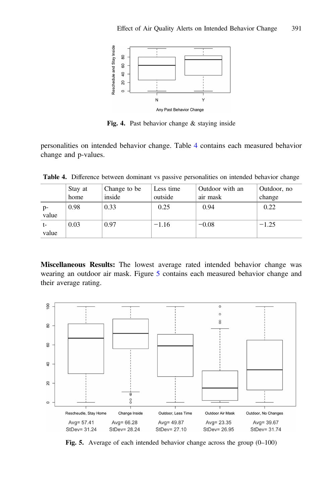<span id="page-5-0"></span>

Fig. 4. Past behavior change & staying inside

personalities on intended behavior change. Table 4 contains each measured behavior change and p-values.

Table 4. Difference between dominant vs passive personalities on intended behavior change

|               | Stay at<br>home | Change to be<br>inside | Less time<br>outside | Outdoor with an<br>air mask | Outdoor, no<br>change |
|---------------|-----------------|------------------------|----------------------|-----------------------------|-----------------------|
| $p-$<br>value | 0.98            | 0.33                   | 0.25                 | 0.94                        | 0.22                  |
| t-<br>value   | 0.03            | 0.97                   | $-1.16$              | $-0.08$                     | $-1.25$               |

Miscellaneous Results: The lowest average rated intended behavior change was wearing an outdoor air mask. Figure 5 contains each measured behavior change and their average rating.



Fig. 5. Average of each intended behavior change across the group (0–100)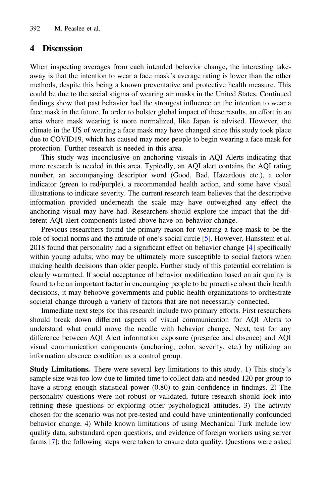#### 4 Discussion

When inspecting averages from each intended behavior change, the interesting takeaway is that the intention to wear a face mask's average rating is lower than the other methods, despite this being a known preventative and protective health measure. This could be due to the social stigma of wearing air masks in the United States. Continued findings show that past behavior had the strongest influence on the intention to wear a face mask in the future. In order to bolster global impact of these results, an effort in an area where mask wearing is more normalized, like Japan is advised. However, the climate in the US of wearing a face mask may have changed since this study took place due to COVID19, which has caused may more people to begin wearing a face mask for protection. Further research is needed in this area.

This study was inconclusive on anchoring visuals in AQI Alerts indicating that more research is needed in this area. Typically, an AQI alert contains the AQI rating number, an accompanying descriptor word (Good, Bad, Hazardous etc.), a color indicator (green to red/purple), a recommended health action, and some have visual illustrations to indicate severity. The current research team believes that the descriptive information provided underneath the scale may have outweighed any effect the anchoring visual may have had. Researchers should explore the impact that the different AQI alert components listed above have on behavior change.

Previous researchers found the primary reason for wearing a face mask to be the role of social norms and the attitude of one's social circle [[5\]](#page-7-0). However, Hansstein et al. 2018 found that personality had a significant effect on behavior change [[4\]](#page-7-0) specifically within young adults; who may be ultimately more susceptible to social factors when making health decisions than older people. Further study of this potential correlation is clearly warranted. If social acceptance of behavior modification based on air quality is found to be an important factor in encouraging people to be proactive about their health decisions, it may behoove governments and public health organizations to orchestrate societal change through a variety of factors that are not necessarily connected.

Immediate next steps for this research include two primary efforts. First researchers should break down different aspects of visual communication for AQI Alerts to understand what could move the needle with behavior change. Next, test for any difference between AQI Alert information exposure (presence and absence) and AQI visual communication components (anchoring, color, severity, etc.) by utilizing an information absence condition as a control group.

Study Limitations. There were several key limitations to this study. 1) This study's sample size was too low due to limited time to collect data and needed 120 per group to have a strong enough statistical power (0.80) to gain confidence in findings. 2) The personality questions were not robust or validated, future research should look into refining these questions or exploring other psychological attitudes. 3) The activity chosen for the scenario was not pre-tested and could have unintentionally confounded behavior change. 4) While known limitations of using Mechanical Turk include low quality data, substandard open questions, and evidence of foreign workers using server farms [\[7](#page-7-0)]; the following steps were taken to ensure data quality. Questions were asked